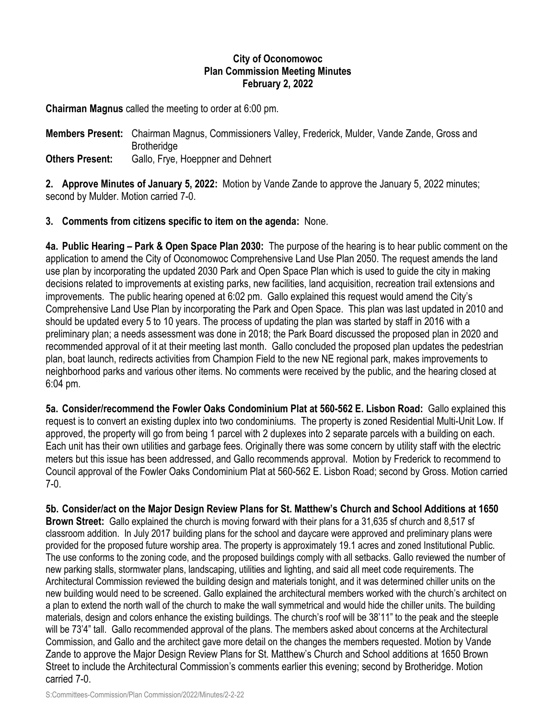## **City of Oconomowoc Plan Commission Meeting Minutes February 2, 2022**

**Chairman Magnus** called the meeting to order at 6:00 pm.

**Members Present:** Chairman Magnus, Commissioners Valley, Frederick, Mulder, Vande Zande, Gross and **Brotheridge Others Present:** Gallo, Frye, Hoeppner and Dehnert

**2. Approve Minutes of January 5, 2022:** Motion by Vande Zande to approve the January 5, 2022 minutes; second by Mulder. Motion carried 7-0.

## **3. Comments from citizens specific to item on the agenda:** None.

**4a. Public Hearing – Park & Open Space Plan 2030:** The purpose of the hearing is to hear public comment on the application to amend the City of Oconomowoc Comprehensive Land Use Plan 2050. The request amends the land use plan by incorporating the updated 2030 Park and Open Space Plan which is used to guide the city in making decisions related to improvements at existing parks, new facilities, land acquisition, recreation trail extensions and improvements. The public hearing opened at 6:02 pm. Gallo explained this request would amend the City's Comprehensive Land Use Plan by incorporating the Park and Open Space. This plan was last updated in 2010 and should be updated every 5 to 10 years. The process of updating the plan was started by staff in 2016 with a preliminary plan; a needs assessment was done in 2018; the Park Board discussed the proposed plan in 2020 and recommended approval of it at their meeting last month. Gallo concluded the proposed plan updates the pedestrian plan, boat launch, redirects activities from Champion Field to the new NE regional park, makes improvements to neighborhood parks and various other items. No comments were received by the public, and the hearing closed at 6:04 pm.

**5a. Consider/recommend the Fowler Oaks Condominium Plat at 560-562 E. Lisbon Road:** Gallo explained this request is to convert an existing duplex into two condominiums. The property is zoned Residential Multi-Unit Low. If approved, the property will go from being 1 parcel with 2 duplexes into 2 separate parcels with a building on each. Each unit has their own utilities and garbage fees. Originally there was some concern by utility staff with the electric meters but this issue has been addressed, and Gallo recommends approval. Motion by Frederick to recommend to Council approval of the Fowler Oaks Condominium Plat at 560-562 E. Lisbon Road; second by Gross. Motion carried 7-0.

**5b. Consider/act on the Major Design Review Plans for St. Matthew's Church and School Additions at 1650 Brown Street:** Gallo explained the church is moving forward with their plans for a 31,635 sf church and 8,517 sf classroom addition. In July 2017 building plans for the school and daycare were approved and preliminary plans were provided for the proposed future worship area. The property is approximately 19.1 acres and zoned Institutional Public. The use conforms to the zoning code, and the proposed buildings comply with all setbacks. Gallo reviewed the number of new parking stalls, stormwater plans, landscaping, utilities and lighting, and said all meet code requirements. The Architectural Commission reviewed the building design and materials tonight, and it was determined chiller units on the new building would need to be screened. Gallo explained the architectural members worked with the church's architect on a plan to extend the north wall of the church to make the wall symmetrical and would hide the chiller units. The building materials, design and colors enhance the existing buildings. The church's roof will be 38'11" to the peak and the steeple will be 73'4" tall. Gallo recommended approval of the plans. The members asked about concerns at the Architectural Commission, and Gallo and the architect gave more detail on the changes the members requested. Motion by Vande Zande to approve the Major Design Review Plans for St. Matthew's Church and School additions at 1650 Brown Street to include the Architectural Commission's comments earlier this evening; second by Brotheridge. Motion carried 7-0.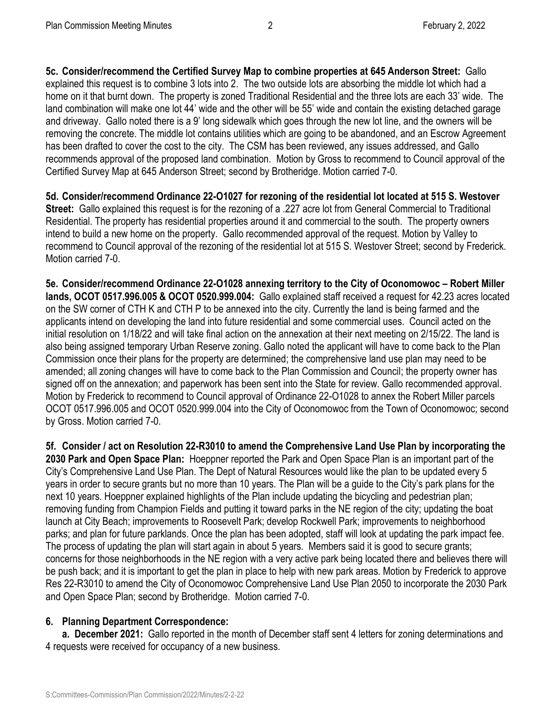**5c. Consider/recommend the Certified Survey Map to combine properties at 645 Anderson Street:** Gallo explained this request is to combine 3 lots into 2. The two outside lots are absorbing the middle lot which had a home on it that burnt down. The property is zoned Traditional Residential and the three lots are each 33' wide. The land combination will make one lot 44' wide and the other will be 55' wide and contain the existing detached garage and driveway. Gallo noted there is a 9' long sidewalk which goes through the new lot line, and the owners will be removing the concrete. The middle lot contains utilities which are going to be abandoned, and an Escrow Agreement has been drafted to cover the cost to the city. The CSM has been reviewed, any issues addressed, and Gallo recommends approval of the proposed land combination. Motion by Gross to recommend to Council approval of the Certified Survey Map at 645 Anderson Street; second by Brotheridge. Motion carried 7-0.

**5d. Consider/recommend Ordinance 22-O1027 for rezoning of the residential lot located at 515 S. Westover Street:** Gallo explained this request is for the rezoning of a .227 acre lot from General Commercial to Traditional Residential. The property has residential properties around it and commercial to the south. The property owners intend to build a new home on the property. Gallo recommended approval of the request. Motion by Valley to recommend to Council approval of the rezoning of the residential lot at 515 S. Westover Street; second by Frederick. Motion carried 7-0.

**5e. Consider/recommend Ordinance 22-O1028 annexing territory to the City of Oconomowoc – Robert Miller lands, OCOT 0517.996.005 & OCOT 0520.999.004:** Gallo explained staff received a request for 42.23 acres located on the SW corner of CTH K and CTH P to be annexed into the city. Currently the land is being farmed and the applicants intend on developing the land into future residential and some commercial uses. Council acted on the initial resolution on 1/18/22 and will take final action on the annexation at their next meeting on 2/15/22. The land is also being assigned temporary Urban Reserve zoning. Gallo noted the applicant will have to come back to the Plan Commission once their plans for the property are determined; the comprehensive land use plan may need to be amended; all zoning changes will have to come back to the Plan Commission and Council; the property owner has signed off on the annexation; and paperwork has been sent into the State for review. Gallo recommended approval. Motion by Frederick to recommend to Council approval of Ordinance 22-O1028 to annex the Robert Miller parcels OCOT 0517.996.005 and OCOT 0520.999.004 into the City of Oconomowoc from the Town of Oconomowoc; second by Gross. Motion carried 7-0.

**5f. Consider / act on Resolution 22-R3010 to amend the Comprehensive Land Use Plan by incorporating the 2030 Park and Open Space Plan:** Hoeppner reported the Park and Open Space Plan is an important part of the City's Comprehensive Land Use Plan. The Dept of Natural Resources would like the plan to be updated every 5 years in order to secure grants but no more than 10 years. The Plan will be a guide to the City's park plans for the next 10 years. Hoeppner explained highlights of the Plan include updating the bicycling and pedestrian plan; removing funding from Champion Fields and putting it toward parks in the NE region of the city; updating the boat launch at City Beach; improvements to Roosevelt Park; develop Rockwell Park; improvements to neighborhood parks; and plan for future parklands. Once the plan has been adopted, staff will look at updating the park impact fee. The process of updating the plan will start again in about 5 years. Members said it is good to secure grants; concerns for those neighborhoods in the NE region with a very active park being located there and believes there will be push back; and it is important to get the plan in place to help with new park areas. Motion by Frederick to approve Res 22-R3010 to amend the City of Oconomowoc Comprehensive Land Use Plan 2050 to incorporate the 2030 Park and Open Space Plan; second by Brotheridge. Motion carried 7-0.

## **6. Planning Department Correspondence:**

**a. December 2021:** Gallo reported in the month of December staff sent 4 letters for zoning determinations and 4 requests were received for occupancy of a new business.